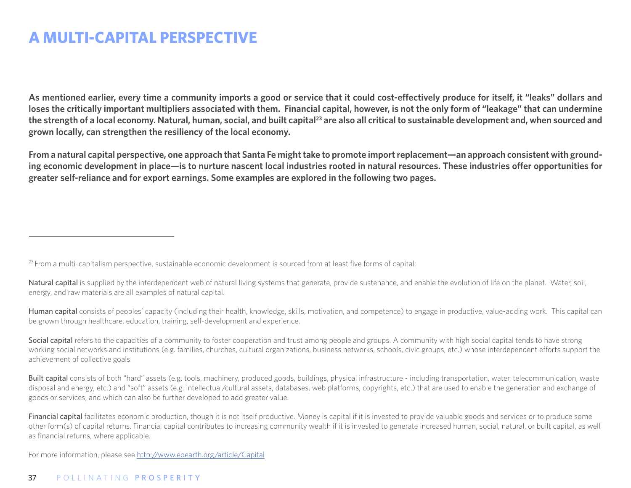# **A MULTI-CAPITAL PERSPECTIVE**

**As mentioned earlier, every time a community imports a good or service that it could cost-efectively produce for itself, it "leaks" dollars and loses the critically important multipliers associated with them. Financial capital, however, is not the only form of "leakage" that can undermine**  the strength of a local economy. Natural, human, social, and built capital<sup>23</sup> are also all critical to sustainable development and, when sourced and **grown locally, can strengthen the resiliency of the local economy.** 

**From a natural capital perspective, one approach that Santa Fe might take to promote import replacement—an approach consistent with grounding economic development in place—is to nurture nascent local industries rooted in natural resources. These industries ofer opportunities for greater self-reliance and for export earnings. Some examples are explored in the following two pages.**

<sup>23</sup> From a multi-capitalism perspective, sustainable economic development is sourced from at least five forms of capital:

Natural capital is supplied by the interdependent web of natural living systems that generate, provide sustenance, and enable the evolution of life on the planet. Water, soil, energy, and raw materials are all examples of natural capital.

Human capital consists of peoples' capacity (including their health, knowledge, skills, motivation, and competence) to engage in productive, value-adding work. This capital can be grown through healthcare, education, training, self-development and experience.

Social capital refers to the capacities of a community to foster cooperation and trust among people and groups. A community with high social capital tends to have strong working social networks and institutions (e.g. families, churches, cultural organizations, business networks, schools, civic groups, etc.) whose interdependent efforts support the achievement of collective goals.

Built capital consists of both "hard" assets (e.g. tools, machinery, produced goods, buildings, physical infrastructure - including transportation, water, telecommunication, waste disposal and energy, etc.) and "soft" assets (e.g. intellectual/cultural assets, databases, web platforms, copyrights, etc.) that are used to enable the generation and exchange of goods or services, and which can also be further developed to add greater value.

Financial capital facilitates economic production, though it is not itself productive. Money is capital if it is invested to provide valuable goods and services or to produce some other form(s) of capital returns. Financial capital contributes to increasing community wealth if it is invested to generate increased human, social, natural, or built capital, as well as financial returns, where applicable.

For more information, please see http://www.eoearth.org/article/Capital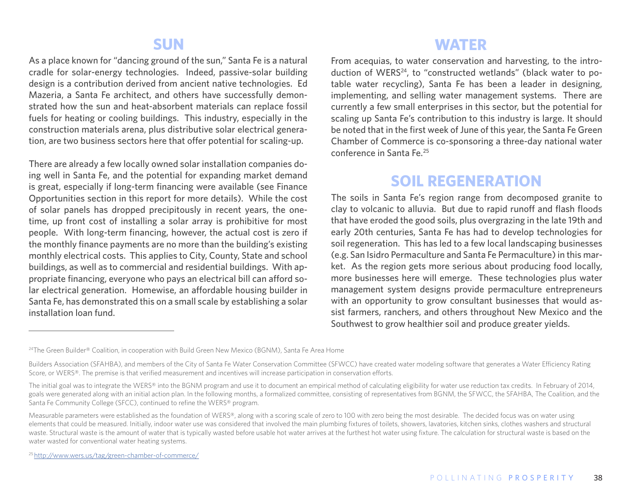#### **SUN**

As a place known for "dancing ground of the sun," Santa Fe is a natural cradle for solar-energy technologies. Indeed, passive-solar building design is a contribution derived from ancient native technologies. Ed Mazeria, a Santa Fe architect, and others have successfully demonstrated how the sun and heat-absorbent materials can replace fossil fuels for heating or cooling buildings. This industry, especially in the construction materials arena, plus distributive solar electrical generation, are two business sectors here that offer potential for scaling-up.

There are already a few locally owned solar installation companies doing well in Santa Fe, and the potential for expanding market demand is great, especially if long-term financing were available (see Finance Opportunities section in this report for more details). While the cost of solar panels has dropped precipitously in recent years, the onetime, up front cost of installing a solar array is prohibitive for most people. With long-term financing, however, the actual cost is zero if the monthly finance payments are no more than the building's existing monthly electrical costs. This applies to City, County, State and school buildings, as well as to commercial and residential buildings. With appropriate financing, everyone who pays an electrical bill can afford solar electrical generation. Homewise, an affordable housing builder in Santa Fe, has demonstrated this on a small scale by establishing a solar installation loan fund.

### **WATER**

From acequias, to water conservation and harvesting, to the introduction of WERS<sup>24</sup>, to "constructed wetlands" (black water to potable water recycling), Santa Fe has been a leader in designing, implementing, and selling water management systems. There are currently a few small enterprises in this sector, but the potential for scaling up Santa Fe's contribution to this industry is large. It should be noted that in the first week of June of this year, the Santa Fe Green Chamber of Commerce is co-sponsoring a three-day national water conference in Santa Fe.25

### **SOIL REGENERATION**

The soils in Santa Fe's region range from decomposed granite to clay to volcanic to alluvia. But due to rapid runoff and flash floods that have eroded the good soils, plus overgrazing in the late 19th and early 20th centuries, Santa Fe has had to develop technologies for soil regeneration. This has led to a few local landscaping businesses (e.g. San Isidro Permaculture and Santa Fe Permaculture) in this market. As the region gets more serious about producing food locally, more businesses here will emerge. These technologies plus water management system designs provide permaculture entrepreneurs with an opportunity to grow consultant businesses that would assist farmers, ranchers, and others throughout New Mexico and the Southwest to grow healthier soil and produce greater yields.

<sup>&</sup>lt;sup>24</sup>The Green Builder® Coalition, in cooperation with Build Green New Mexico (BGNM), Santa Fe Area Home

Builders Association (SFAHBA), and members of the City of Santa Fe Water Conservation Committee (SFWCC) have created water modeling software that generates a Water Efficiency Rating Score, or WERS®. The premise is that verified measurement and incentives will increase participation in conservation efforts.

The initial goal was to integrate the WERS® into the BGNM program and use it to document an empirical method of calculating eligibility for water use reduction tax credits. In February of 2014, goals were generated along with an initial action plan. In the following months, a formalized committee, consisting of representatives from BGNM, the SFWCC, the SFAHBA, The Coalition, and the Santa Fe Community College (SFCC), continued to refine the WERS® program.

Measurable parameters were established as the foundation of WERS®, along with a scoring scale of zero to 100 with zero being the most desirable. The decided focus was on water using elements that could be measured. Initially, indoor water use was considered that involved the main plumbing fixtures of toilets, showers, lavatories, kitchen sinks, clothes washers and structural waste. Structural waste is the amount of water that is typically wasted before usable hot water arrives at the furthest hot water using fixture. The calculation for structural waste is based on the water wasted for conventional water heating systems.

<sup>25</sup> http://www.wers.us/tag/green-chamber-of-commerce/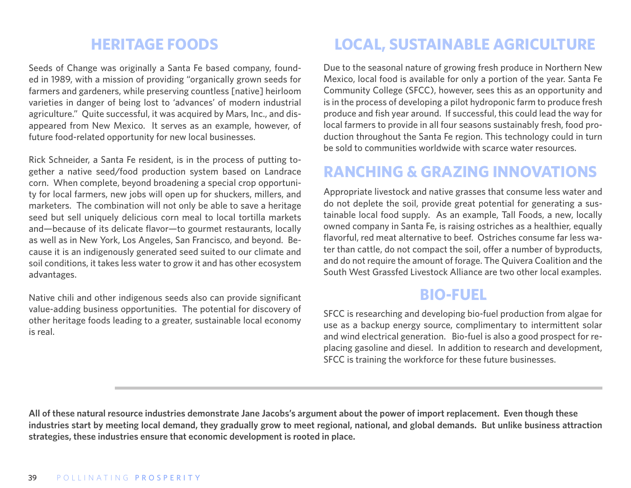## **HERITAGE FOODS**

Seeds of Change was originally a Santa Fe based company, founded in 1989, with a mission of providing "organically grown seeds for farmers and gardeners, while preserving countless [native] heirloom varieties in danger of being lost to 'advances' of modern industrial agriculture." Quite successful, it was acquired by Mars, Inc., and disappeared from New Mexico. It serves as an example, however, of future food-related opportunity for new local businesses.

Rick Schneider, a Santa Fe resident, is in the process of putting together a native seed/food production system based on Landrace corn. When complete, beyond broadening a special crop opportunity for local farmers, new jobs will open up for shuckers, millers, and marketers. The combination will not only be able to save a heritage seed but sell uniquely delicious corn meal to local tortilla markets and—because of its delicate flavor—to gourmet restaurants, locally as well as in New York, Los Angeles, San Francisco, and beyond. Because it is an indigenously generated seed suited to our climate and soil conditions, it takes less water to grow it and has other ecosystem advantages.

Native chili and other indigenous seeds also can provide significant value-adding business opportunities. The potential for discovery of other heritage foods leading to a greater, sustainable local economy is real.

# **LOCAL, SUSTAINABLE AGRICULTURE**

Due to the seasonal nature of growing fresh produce in Northern New Mexico, local food is available for only a portion of the year. Santa Fe Community College (SFCC), however, sees this as an opportunity and is in the process of developing a pilot hydroponic farm to produce fresh produce and fish year around. If successful, this could lead the way for local farmers to provide in all four seasons sustainably fresh, food production throughout the Santa Fe region. This technology could in turn be sold to communities worldwide with scarce water resources.

## **RANCHING & GRAZING INNOVATIONS**

Appropriate livestock and native grasses that consume less water and do not deplete the soil, provide great potential for generating a sustainable local food supply. As an example, Tall Foods, a new, locally owned company in Santa Fe, is raising ostriches as a healthier, equally flavorful, red meat alternative to beef. Ostriches consume far less water than cattle, do not compact the soil, offer a number of byproducts, and do not require the amount of forage. The Quivera Coalition and the South West Grassfed Livestock Alliance are two other local examples.

#### **BIO-FUEL**

SFCC is researching and developing bio-fuel production from algae for use as a backup energy source, complimentary to intermittent solar and wind electrical generation. Bio-fuel is also a good prospect for replacing gasoline and diesel. In addition to research and development, SFCC is training the workforce for these future businesses.

**All of these natural resource industries demonstrate Jane Jacobs's argument about the power of import replacement. Even though these industries start by meeting local demand, they gradually grow to meet regional, national, and global demands. But unlike business attraction strategies, these industries ensure that economic development is rooted in place.**